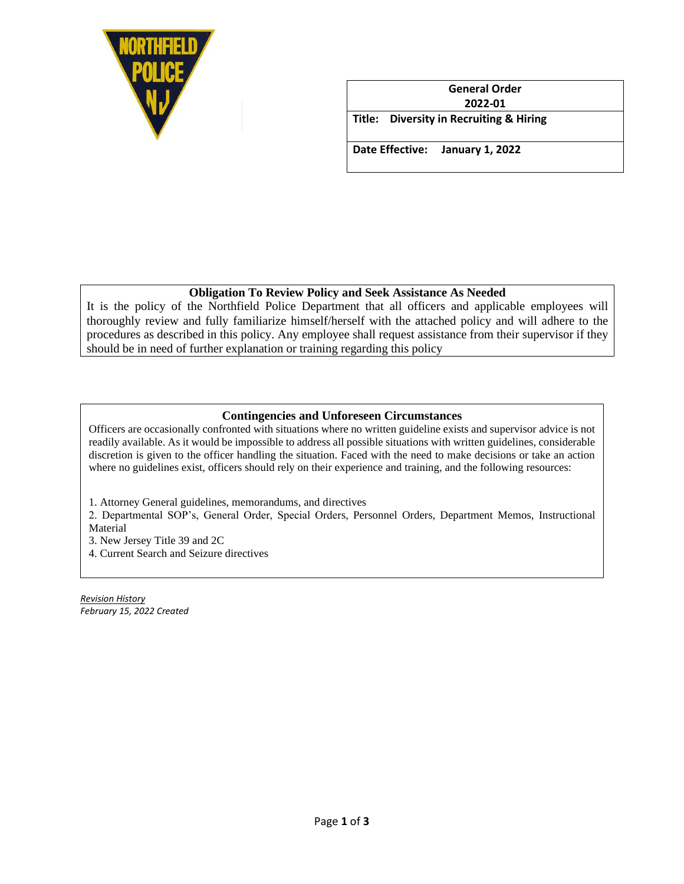

**General Order 2022-01 Title: Diversity in Recruiting & Hiring Date Effective: January 1, 2022**

### **Obligation To Review Policy and Seek Assistance As Needed**

It is the policy of the Northfield Police Department that all officers and applicable employees will thoroughly review and fully familiarize himself/herself with the attached policy and will adhere to the procedures as described in this policy. Any employee shall request assistance from their supervisor if they should be in need of further explanation or training regarding this policy

#### **Contingencies and Unforeseen Circumstances**

Officers are occasionally confronted with situations where no written guideline exists and supervisor advice is not readily available. As it would be impossible to address all possible situations with written guidelines, considerable discretion is given to the officer handling the situation. Faced with the need to make decisions or take an action where no guidelines exist, officers should rely on their experience and training, and the following resources:

1. Attorney General guidelines, memorandums, and directives

2. Departmental SOP's, General Order, Special Orders, Personnel Orders, Department Memos, Instructional Material

3. New Jersey Title 39 and 2C

4. Current Search and Seizure directives

*Revision History February 15, 2022 Created*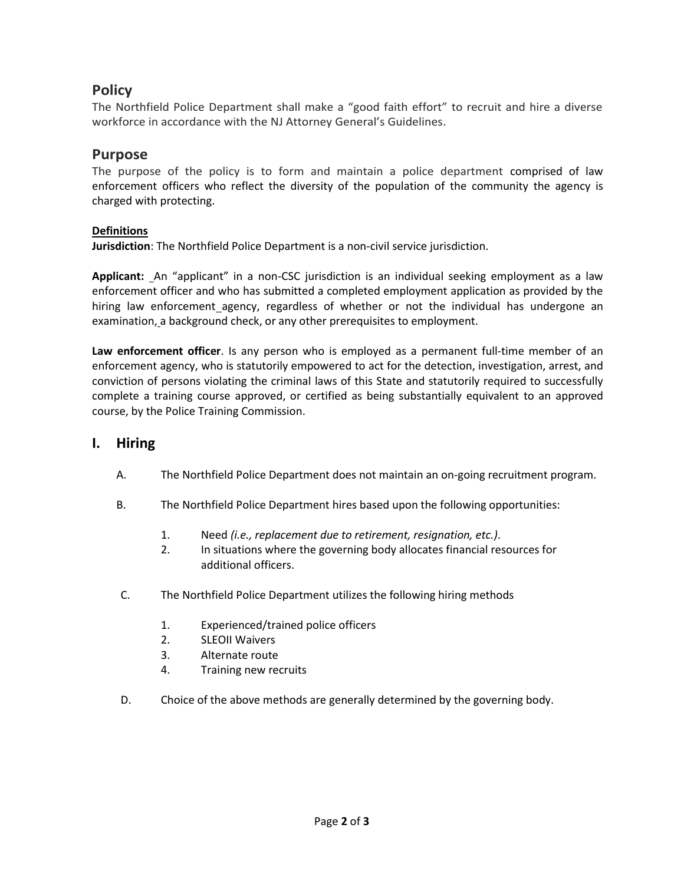# **Policy**

The Northfield Police Department shall make a "good faith effort" to recruit and hire a diverse workforce in accordance with the NJ Attorney General's Guidelines.

## **Purpose**

The purpose of the policy is to form and maintain a police department comprised of law enforcement officers who reflect the diversity of the population of the community the agency is charged with protecting.

#### **Definitions**

**Jurisdiction**: The Northfield Police Department is a non-civil service jurisdiction.

**Applicant:** An "applicant" in a non-CSC jurisdiction is an individual seeking employment as a law enforcement officer and who has submitted a completed employment application as provided by the hiring law enforcement\_agency, regardless of whether or not the individual has undergone an examination, a background check, or any other prerequisites to employment.

**Law enforcement officer**. Is any person who is employed as a permanent full-time member of an enforcement agency, who is statutorily empowered to act for the detection, investigation, arrest, and conviction of persons violating the criminal laws of this State and statutorily required to successfully complete a training course approved, or certified as being substantially equivalent to an approved course, by the Police Training Commission.

### **I. Hiring**

- A. The Northfield Police Department does not maintain an on-going recruitment program.
- B. The Northfield Police Department hires based upon the following opportunities:
	- 1. Need *(i.e., replacement due to retirement, resignation, etc.)*.
	- 2. In situations where the governing body allocates financial resources for additional officers.
- C. The Northfield Police Department utilizes the following hiring methods
	- 1. Experienced/trained police officers
	- 2. SLEOII Waivers
	- 3. Alternate route
	- 4. Training new recruits
- D. Choice of the above methods are generally determined by the governing body.